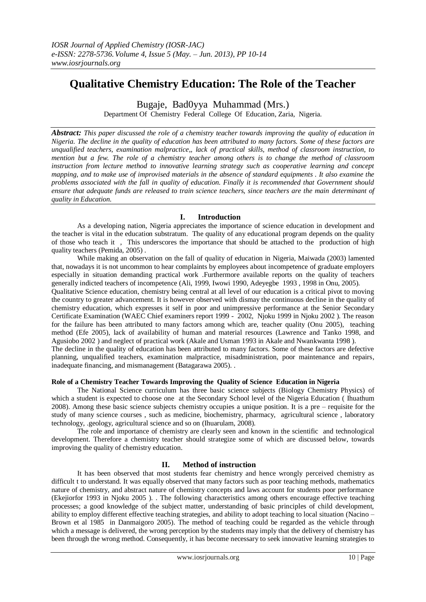# **Qualitative Chemistry Education: The Role of the Teacher**

Bugaje, Bad0yya Muhammad (Mrs.)

Department Of Chemistry Federal College Of Education, Zaria, Nigeria.

*Abstract: This paper discussed the role of a chemistry teacher towards improving the quality of education in Nigeria. The decline in the quality of education has been attributed to many factors. Some of these factors are unqualified teachers, examination malpractice,, lack of practical skills, method of classroom instruction, to mention but a few. The role of a chemistry teacher among others is to change the method of classroom instruction from lecture method to innovative learning strategy such as cooperative learning and concept mapping, and to make use of improvised materials in the absence of standard equipments . It also examine the problems associated with the fall in quality of education. Finally it is recommended that Government should ensure that adequate funds are released to train science teachers, since teachers are the main determinant of quality in Education.*

# **I. Introduction**

As a developing nation, Nigeria appreciates the importance of science education in development and the teacher is vital in the education substratum. The quality of any educational program depends on the quality of those who teach it , This underscores the importance that should be attached to the production of high quality teachers (Pemida, 2005) .

While making an observation on the fall of quality of education in Nigeria, Maiwada (2003) lamented that, nowadays it is not uncommon to hear complaints by employees about incompetence of graduate employers especially in situation demanding practical work .Furthermore available reports on the quality of teachers generally indicted teachers of incompetence (Ali, 1999, Iwowi 1990, Adeyegbe 1993 , 1998 in Onu, 2005).

Qualitative Science education, chemistry being central at all level of our education is a critical pivot to moving the country to greater advancement. It is however observed with dismay the continuous decline in the quality of chemistry education, which expresses it self in poor and unimpressive performance at the Senior Secondary Certificate Examination (WAEC Chief examiners report 1999 - 2002, Njoku 1999 in Njoku 2002 ). The reason for the failure has been attributed to many factors among which are, teacher quality (Onu 2005), teaching method (Efe 2005), lack of availability of human and material resources (Lawrence and Tanko 1998, and Agusiobo 2002 ) and neglect of practical work (Akale and Usman 1993 in Akale and Nwankwanta 1998 ).

The decline in the quality of education has been attributed to many factors. Some of these factors are defective planning, unqualified teachers, examination malpractice, misadministration, poor maintenance and repairs, inadequate financing, and mismanagement (Batagarawa 2005). .

# **Role of a Chemistry Teacher Towards Improving the Quality of Science Education in Nigeria**

The National Science curriculum has three basic science subjects (Biology Chemistry Physics) of which a student is expected to choose one at the Secondary School level of the Nigeria Education ( Ihuathum 2008). Among these basic science subjects chemistry occupies a unique position. It is a pre – requisite for the study of many science courses , such as medicine, biochemistry, pharmacy, agricultural science , laboratory technology, .geology, agricultural science and so on (Ihuarulam, 2008).

The role and importance of chemistry are clearly seen and known in the scientific and technological development. Therefore a chemistry teacher should strategize some of which are discussed below, towards improving the quality of chemistry education.

# **II. Method of instruction**

It has been observed that most students fear chemistry and hence wrongly perceived chemistry as difficult t to understand. It was equally observed that many factors such as poor teaching methods, mathematics nature of chemistry, and abstract nature of chemistry concepts and laws account for students poor performance (Ekejiorfor 1993 in Njoku 2005 ). . The following characteristics among others encourage effective teaching processes; a good knowledge of the subject matter, understanding of basic principles of child development, ability to employ different effective teaching strategies, and ability to adopt teaching to local situation (Nacino – Brown et al 1985 in Danmaigoro 2005). The method of teaching could be regarded as the vehicle through which a message is delivered, the wrong perception by the students may imply that the delivery of chemistry has been through the wrong method. Consequently, it has become necessary to seek innovative learning strategies to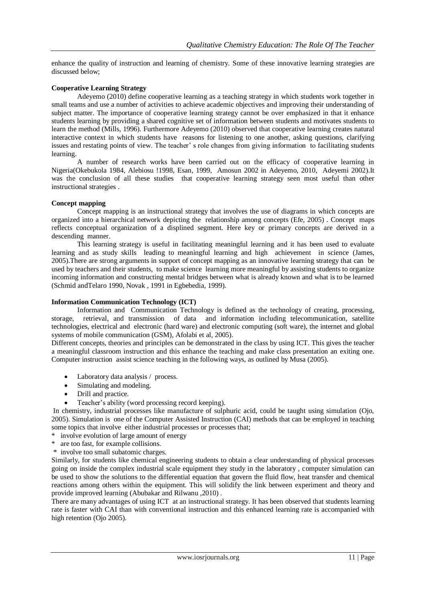enhance the quality of instruction and learning of chemistry. Some of these innovative learning strategies are discussed below;

## **Cooperative Learning Strategy**

Adeyemo (2010) define cooperative learning as a teaching strategy in which students work together in small teams and use a number of activities to achieve academic objectives and improving their understanding of subject matter. The importance of cooperative learning strategy cannot be over emphasized in that it enhance students learning by providing a shared cognitive set of information between students and motivates students to learn the method (Mills, 1996). Furthermore Adeyemo (2010) observed that cooperative learning creates natural interactive context in which students have reasons for listening to one another, asking questions, clarifying issues and restating points of view. The teacher' s role changes from giving information to facilitating students learning.

A number of research works have been carried out on the efficacy of cooperative learning in Nigeria(Okebukola 1984, Alebiosu !1998, Esan, 1999, Amosun 2002 in Adeyemo, 2010, Adeyemi 2002).It was the conclusion of all these studies that cooperative learning strategy seen most useful than other instructional strategies .

## **Concept mapping**

Concept mapping is an instructional strategy that involves the use of diagrams in which concepts are organized into a hierarchical network depicting the relationship among concepts (Efe, 2005) . Concept maps reflects conceptual organization of a displined segment. Here key or primary concepts are derived in a descending manner.

This learning strategy is useful in facilitating meaningful learning and it has been used to evaluate learning and as study skills leading to meaningful learning and high achievement in science (James, 2005).There are strong arguments in support of concept mapping as an innovative learning strategy that can be used by teachers and their students, to make science learning more meaningful by assisting students to organize incoming information and constructing mental bridges between what is already known and what is to be learned (Schmid andTelaro 1990, Novak , 1991 in Egbebedia, 1999).

## **Information Communication Technology (ICT)**

Information and Communication Technology is defined as the technology of creating, processing, storage, retrieval, and transmission of data and information including telecommunication, satellite technologies, electrical and electronic (hard ware) and electronic computing (soft ware), the internet and global systems of mobile communication (GSM), Afolabi et al, 2005).

Different concepts, theories and principles can be demonstrated in the class by using ICT. This gives the teacher a meaningful classroom instruction and this enhance the teaching and make class presentation an exiting one. Computer instruction assist science teaching in the following ways, as outlined by Musa (2005).

- Laboratory data analysis / process.
- Simulating and modeling.
- Drill and practice.
- Teacher's ability (word processing record keeping).

In chemistry, industrial processes like manufacture of sulphuric acid, could be taught using simulation (Ojo, 2005). Simulation is one of the Computer Assisted Instruction (CAI) methods that can be employed in teaching some topics that involve either industrial processes or processes that;

- \* involve evolution of large amount of energy
- \* are too fast, for example collisions.
- \* involve too small subatomic charges.

Similarly, for students like chemical engineering students to obtain a clear understanding of physical processes going on inside the complex industrial scale equipment they study in the laboratory , computer simulation can be used to show the solutions to the differential equation that govern the fluid flow, heat transfer and chemical reactions among others within the equipment. This will solidify the link between experiment and theory and provide improved learning (Abubakar and Rilwanu ,2010) .

There are many advantages of using ICT at an instructional strategy. It has been observed that students learning rate is faster with CAI than with conventional instruction and this enhanced learning rate is accompanied with high retention (Ojo 2005).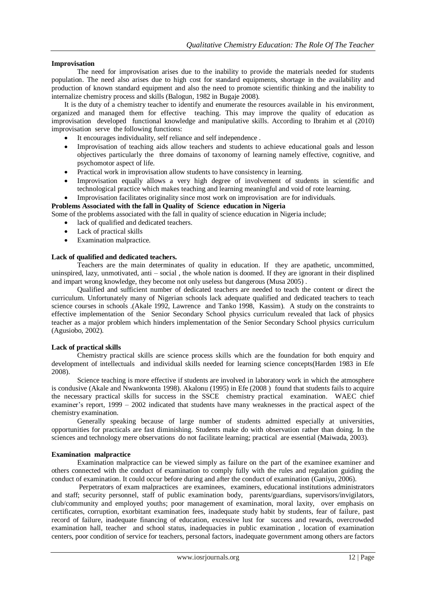## **Improvisation**

The need for improvisation arises due to the inability to provide the materials needed for students population. The need also arises due to high cost for standard equipments, shortage in the availability and production of known standard equipment and also the need to promote scientific thinking and the inability to internalize chemistry process and skills (Balogun, 1982 in Bugaje 2008).

It is the duty of a chemistry teacher to identify and enumerate the resources available in his environment, organized and managed them for effective teaching. This may improve the quality of education as improvisation developed functional knowledge and manipulative skills. According to Ibrahim et al (2010) improvisation serve the following functions:

- It encourages individuality, self reliance and self independence .
- Improvisation of teaching aids allow teachers and students to achieve educational goals and lesson objectives particularly the three domains of taxonomy of learning namely effective, cognitive, and psychomotor aspect of life.
- Practical work in improvisation allow students to have consistency in learning.
- Improvisation equally allows a very high degree of involvement of students in scientific and technological practice which makes teaching and learning meaningful and void of rote learning.
- Improvisation facilitates originality since most work on improvisation are for individuals.

## **Problems Associated with the fall in Quality of Science education in Nigeria**

Some of the problems associated with the fall in quality of science education in Nigeria include;

- lack of qualified and dedicated teachers.
- Lack of practical skills
- Examination malpractice.

#### **Lack of qualified and dedicated teachers.**

Teachers are the main determinates of quality in education. If they are apathetic, uncommitted, uninspired, lazy, unmotivated, anti – social , the whole nation is doomed. If they are ignorant in their displined and impart wrong knowledge, they become not only useless but dangerous (Musa 2005) .

Qualified and sufficient number of dedicated teachers are needed to teach the content or direct the curriculum. Unfortunately many of Nigerian schools lack adequate qualified and dedicated teachers to teach science courses in schools .(Akale 1992, Lawrence and Tanko 1998, Kassim). A study on the constraints to effective implementation of the Senior Secondary School physics curriculum revealed that lack of physics teacher as a major problem which hinders implementation of the Senior Secondary School physics curriculum (Agusiobo, 2002).

#### **Lack of practical skills**

Chemistry practical skills are science process skills which are the foundation for both enquiry and development of intellectuals and individual skills needed for learning science concepts(Harden 1983 in Efe 2008).

Science teaching is more effective if students are involved in laboratory work in which the atmosphere is condusive (Akale and Nwankwonta 1998). Akalonu (1995) in Efe (2008 ) found that students fails to acquire the necessary practical skills for success in the SSCE chemistry practical examination. WAEC chief examiner's report, 1999 – 2002 indicated that students have many weaknesses in the practical aspect of the chemistry examination.

Generally speaking because of large number of students admitted especially at universities, opportunities for practicals are fast diminishing. Students make do with observation rather than doing. In the sciences and technology mere observations do not facilitate learning; practical are essential (Maiwada, 2003).

#### **Examination malpractice**

Examination malpractice can be viewed simply as failure on the part of the examinee examiner and others connected with the conduct of examination to comply fully with the rules and regulation guiding the conduct of examination. It could occur before during and after the conduct of examination (Ganiyu, 2006).

Perpetrators of exam malpractices are examinees, examiners, educational institutions administrators and staff; security personnel, staff of public examination body, parents/guardians, supervisors/invigilators, club/community and employed youths; poor management of examination, moral laxity, over emphasis on certificates, corruption, exorbitant examination fees, inadequate study habit by students, fear of failure, past record of failure, inadequate financing of education, excessive lust for success and rewards, overcrowded examination hall, teacher and school status, inadequacies in public examination , location of examination centers, poor condition of service for teachers, personal factors, inadequate government among others are factors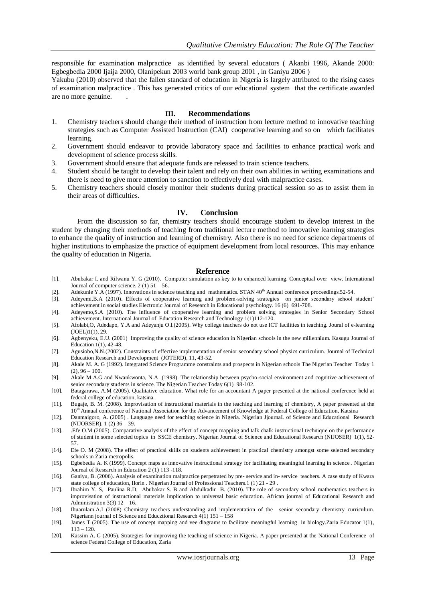responsible for examination malpractice as identified by several educators ( Akanbi 1996, Akande 2000: Egbegbedia 2000 Ijaija 2000, Olanipekun 2003 world bank group 2001 , in Ganiyu 2006 )

Yakubu (2010) observed that the fallen standard of education in Nigeria is largely attributed to the rising cases of examination malpractice . This has generated critics of our educational system that the certificate awarded are no more genuine. .

#### **III. Recommendations**

- 1. Chemistry teachers should change their method of instruction from lecture method to innovative teaching strategies such as Computer Assisted Instruction (CAI) cooperative learning and so on which facilitates learning.
- 2. Government should endeavor to provide laboratory space and facilities to enhance practical work and development of science process skills.
- 3. Government should ensure that adequate funds are released to train science teachers.
- 4. Student should be taught to develop their talent and rely on their own abilities in writing examinations and there is need to give more attention to sanction to effectively deal with malpractice cases.
- 5. Chemistry teachers should closely monitor their students during practical session so as to assist them in their areas of difficulties.

#### **IV. Conclusion**

From the discussion so far, chemistry teachers should encourage student to develop interest in the student by changing their methods of teaching from traditional lecture method to innovative learning strategies to enhance the quality of instruction and learning of chemistry. Also there is no need for science departments of higher institutions to emphasize the practice of equipment development from local resources. This may enhance the quality of education in Nigeria.

#### **Reference**

- [1]. Abubakar I. and Rilwanu Y. G (2010). Computer simulation as key to to enhanced learning. Conceptual over view. International Journal of computer science.  $2(1)$  51 – 56.
- [2]. Adekunle Y.A (1997). Innovations in science teaching and mathematics. STAN  $40<sup>th</sup>$  Annual conference proceedings.52-54.
- [3]. Adeyemi,B.A (2010). Effects of cooperative learning and problem-solving strategies on junior secondary school student' achievement in social studies Electronic Journal of Research in Educational psychology. 16 (6) 691-708.
- [4]. Adeyemo,S.A (2010). The influence of cooperative learning and problem solving strategies in Senior Secondary School achievement. International Journal of Education Research and Technology 1(1)112-120.
- [5]. Afolabi,O, Adedapo, Y.A and Adeyanju O.l.(2005). Why college teachers do not use ICT facilities in teaching. Joural of e-learning (JOEL)1(1), 29.
- [6]. Agbenyeku, E.U. (2001) Improving the quality of science education in Nigerian schools in the new millennium. Kasugu Journal of Education 1(1), 42-48.
- [7]. Agusiobo,N.N.(2002). Constraints of effective implementation of senior secondary school physics curriculum. Journal of Technical Education Research and Development (JOTERD), 11, 43-52.
- [8]. Akale M. A. G (1992). Integrated Science Programme constraints and prospects in Nigerian schools The Nigerian Teacher Today 1  $(2), 96 - 100.$
- [9]. Akale M.A.G and Nwankwonta, N.A (1998). The relationship between psycho-social environment and cognitive achievement of senior secondary students in science. The Nigerian Teacher Today 6(1) 98-102.
- [10]. Batagarawa, A.M (2005). Qualitative education. What role for an accountant A paper presented at the national conference held at federal college of education, katsina.
- [11]. Bugaje, B. M. (2008). Improvisation of instructional materials in the teaching and learning of chemistry, A paper presented at the 10<sup>th</sup> Annual conference of National Association for the Advancement of Knowledge at Federal College of Education, Katsina
- [12]. Danmaigoro, A. (2005) . Language need for teaching science in Nigeria. Nigerian JjournaL of Science and Educational Research (NIJORSER). 1 (2) 36 – 39.
- [13]. .Efe O.M (2005). Comparative analysis of the effect of concept mapping and talk chalk instructional technique on the performance of student in some selected topics in SSCE chemistry. Nigerian Journal of Science and Educational Research (NIJOSER) 1(1), 52- 57.
- [14]. Efe O. M (2008). The effect of practical skills on students achievement in practical chemistry amongst some selected secondary schools in Zaria metropolis.
- [15]. Egbebedia A. K (1999). Concept maps as innovative instructional strategy for facilitating meaningful learning in science . Nigerian Journal of Research in Education 2 (1) 113 -118.
- [16]. Ganiyu, B. (2006). Analysis of examination malpractice perpetrated by pre- service and in- service teachers. A case study of Kwara state college of education, Ilorin . Nigerian Journal of Professional Teachers.1 (1) 21 - 29 .
- [17]. Ibrahim Y. S, Paulina R.D, Abubakar S. B and Abdulkadir B. (2010). The role of secondary school mathematics teachers in improvisation of instructional materials implication to universal basic education. African journal of Educational Research and Administration  $3(3)$  12 – 16.
- [18]. Ihuarulam.A.I (2008) Chemistry teachers understanding and implementation of the senior secondary chemistry curriculum. Nigeriann journal of Science and Educztional Research  $4(1)$  151 – 158
- [19]. James T (2005). The use of concept mapping and vee diagrams to facilitate meaningful learning in biology.Zaria Educator 1(1), 113 – 120.
- [20]. Kassim A. G (2005). Strategies for improving the teaching of science in Nigeria. A paper presented at the National Conference of science Federal College of Education, Zaria